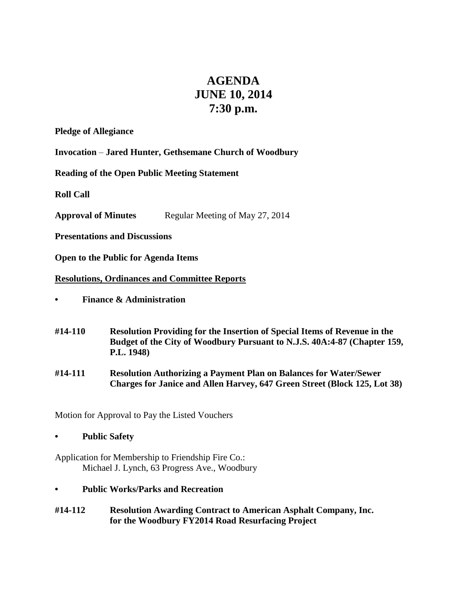# **AGENDA JUNE 10, 2014 7:30 p.m.**

**Pledge of Allegiance**

**Invocation** – **Jared Hunter, Gethsemane Church of Woodbury**

**Reading of the Open Public Meeting Statement**

**Roll Call**

**Approval of Minutes** Regular Meeting of May 27, 2014

**Presentations and Discussions**

**Open to the Public for Agenda Items**

## **Resolutions, Ordinances and Committee Reports**

- **• Finance & Administration**
- **#14-110 Resolution Providing for the Insertion of Special Items of Revenue in the Budget of the City of Woodbury Pursuant to N.J.S. 40A:4-87 (Chapter 159, P.L. 1948)**
- **#14-111 Resolution Authorizing a Payment Plan on Balances for Water/Sewer Charges for Janice and Allen Harvey, 647 Green Street (Block 125, Lot 38)**

Motion for Approval to Pay the Listed Vouchers

**• Public Safety**

Application for Membership to Friendship Fire Co.: Michael J. Lynch, 63 Progress Ave., Woodbury

- **• Public Works/Parks and Recreation**
- **#14-112 Resolution Awarding Contract to American Asphalt Company, Inc. for the Woodbury FY2014 Road Resurfacing Project**